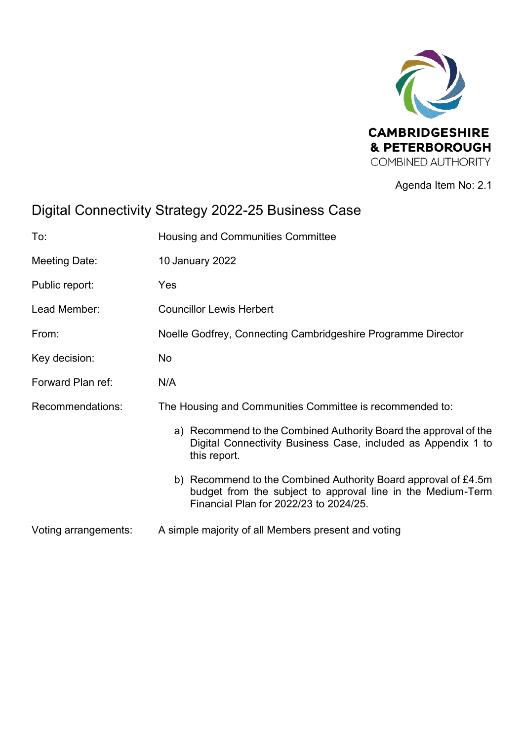

Agenda Item No: 2.1

# Digital Connectivity Strategy 2022-25 Business Case

| To:                  | Housing and Communities Committee                                                                                                                                       |  |  |  |
|----------------------|-------------------------------------------------------------------------------------------------------------------------------------------------------------------------|--|--|--|
| Meeting Date:        | 10 January 2022                                                                                                                                                         |  |  |  |
| Public report:       | Yes                                                                                                                                                                     |  |  |  |
| Lead Member:         | <b>Councillor Lewis Herbert</b>                                                                                                                                         |  |  |  |
| From:                | Noelle Godfrey, Connecting Cambridgeshire Programme Director                                                                                                            |  |  |  |
| Key decision:        | No                                                                                                                                                                      |  |  |  |
| Forward Plan ref:    | N/A                                                                                                                                                                     |  |  |  |
| Recommendations:     | The Housing and Communities Committee is recommended to:                                                                                                                |  |  |  |
|                      | a) Recommend to the Combined Authority Board the approval of the<br>Digital Connectivity Business Case, included as Appendix 1 to<br>this report.                       |  |  |  |
|                      | b) Recommend to the Combined Authority Board approval of £4.5m<br>budget from the subject to approval line in the Medium-Term<br>Financial Plan for 2022/23 to 2024/25. |  |  |  |
| Voting arrangements: | A simple majority of all Members present and voting                                                                                                                     |  |  |  |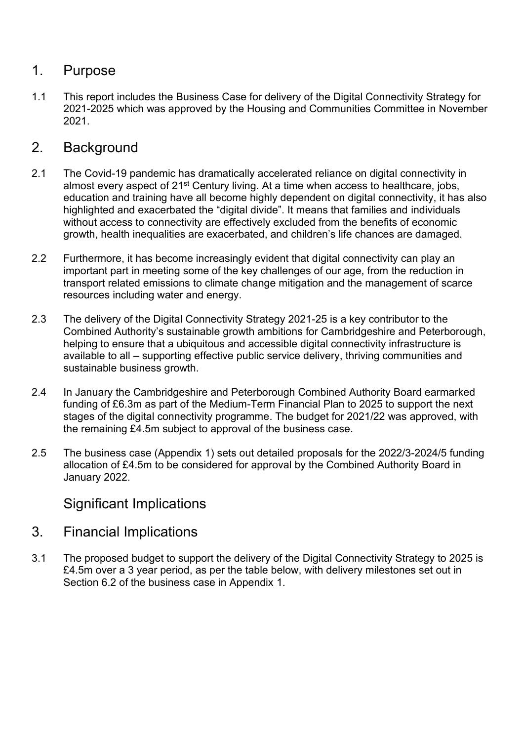### 1. Purpose

1.1 This report includes the Business Case for delivery of the Digital Connectivity Strategy for 2021-2025 which was approved by the Housing and Communities Committee in November 2021.

## 2. Background

- 2.1 The Covid-19 pandemic has dramatically accelerated reliance on digital connectivity in almost every aspect of 21<sup>st</sup> Century living. At a time when access to healthcare, jobs, education and training have all become highly dependent on digital connectivity, it has also highlighted and exacerbated the "digital divide". It means that families and individuals without access to connectivity are effectively excluded from the benefits of economic growth, health inequalities are exacerbated, and children's life chances are damaged.
- 2.2 Furthermore, it has become increasingly evident that digital connectivity can play an important part in meeting some of the key challenges of our age, from the reduction in transport related emissions to climate change mitigation and the management of scarce resources including water and energy.
- 2.3 The delivery of the Digital Connectivity Strategy 2021-25 is a key contributor to the Combined Authority's sustainable growth ambitions for Cambridgeshire and Peterborough, helping to ensure that a ubiquitous and accessible digital connectivity infrastructure is available to all – supporting effective public service delivery, thriving communities and sustainable business growth.
- 2.4 In January the Cambridgeshire and Peterborough Combined Authority Board earmarked funding of £6.3m as part of the Medium-Term Financial Plan to 2025 to support the next stages of the digital connectivity programme. The budget for 2021/22 was approved, with the remaining £4.5m subject to approval of the business case.
- 2.5 The business case (Appendix 1) sets out detailed proposals for the 2022/3-2024/5 funding allocation of £4.5m to be considered for approval by the Combined Authority Board in January 2022.

#### Significant Implications

- 3. Financial Implications
- 3.1 The proposed budget to support the delivery of the Digital Connectivity Strategy to 2025 is £4.5m over a 3 year period, as per the table below, with delivery milestones set out in Section 6.2 of the business case in Appendix 1.